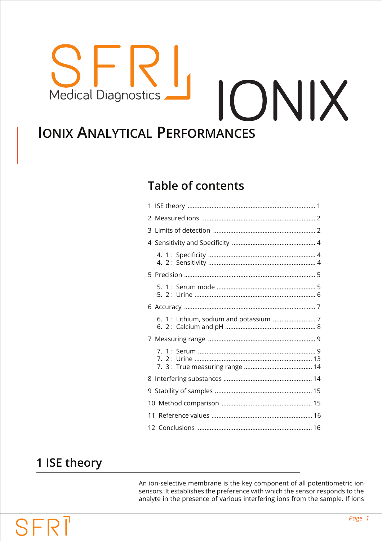# IONIX Medical Diagnostics  **IONIX ANALYTICAL PERFORMANCES**

## **Table of contents**

| 11 |  |
|----|--|
|    |  |

## <span id="page-0-0"></span>**1 ISE theory**

An ion-selective membrane is the key component of all potentiometric ion sensors. It establishes the preference with which the sensor responds to the analyte in the presence of various interfering ions from the sample. If ions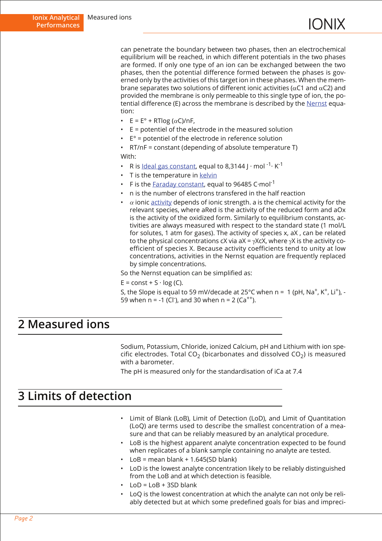can penetrate the boundary between two phases, then an electrochemical equilibrium will be reached, in which different potentials in the two phases are formed. If only one type of an ion can be exchanged between the two phases, then the potential difference formed between the phases is governed only by the activities of this target ion in these phases. When the membrane separates two solutions of different ionic activities ( $\alpha$ C1 and  $\alpha$ C2) and provided the membrane is only permeable to this single type of ion, the potential difference (E) across the membrane is described by the [Nernst](https://en.wikipedia.org/wiki/Nernst_equation) equation:

- E =  $E^{\circ}$  + RTlog ( $\alpha$ C)/nF,
- E = potentiel of the electrode in the measured solution
- $\cdot$  E° = potentiel of the electrode in reference solution

• RT/nF = constant (depending of absolute temperature T) With:

- R is <u>Ideal gas constant</u>, equal to 8,3144 J · mol<sup>-1</sup>· K<sup>-1</sup>
- T is the temperature in [kelvin](https://en.wikipedia.org/wiki/Kelvin)
- F is the [Faraday constant,](https://en.wikipedia.org/wiki/Faraday_constant) equal to 96485 C $\cdot$ mol $^{-1}$
- n is the number of electrons transfered in the half reaction
- $\alpha$  ionic [activity](https://en.wikipedia.org/wiki/Thermodynamic_activity) depends of ionic strength. a is the chemical activity for the relevant species, where aRed is the activity of the reduced form and aOx is the activity of the oxidized form. Similarly to equilibrium constants, activities are always measured with respect to the standard state (1 mol/L for solutes, 1 atm for gases). The activity of species x, aX , can be related to the physical concentrations cX via aX =  $\gamma$ XcX, where  $\gamma$ X is the activity coefficient of species X. Because activity coefficients tend to unity at low concentrations, activities in the Nernst equation are frequently replaced by simple concentrations.

So the Nernst equation can be simplified as:

 $E = const + S \cdot log(C)$ .

S, the Slope is equal to 59 mV/decade at 25°C when  $n = 1$  (pH, Na<sup>+</sup>, K<sup>+</sup>, Li<sup>+</sup>), -59 when  $n = -1$  (Cl<sup>-</sup>), and 30 when  $n = 2$  (Ca<sup>++</sup>).

## <span id="page-1-0"></span>**2 Measured ions**

Sodium, Potassium, Chloride, ionized Calcium, pH and Lithium with ion specific electrodes. Total  $CO<sub>2</sub>$  (bicarbonates and dissolved  $CO<sub>2</sub>$ ) is measured with a barometer.

The pH is measured only for the standardisation of iCa at 7.4

## <span id="page-1-1"></span>**3 Limits of detection**

- Limit of Blank (LoB), Limit of Detection (LoD), and Limit of Quantitation (LoQ) are terms used to describe the smallest concentration of a measure and that can be reliably measured by an analytical procedure.
- LoB is the highest apparent analyte concentration expected to be found when replicates of a blank sample containing no analyte are tested.
- $LoB =$  mean blank + 1.645(SD blank)
- LoD is the lowest analyte concentration likely to be reliably distinguished from the LoB and at which detection is feasible.
- $LOD = LOB + 3SD$  blank
- LoQ is the lowest concentration at which the analyte can not only be reliably detected but at which some predefined goals for bias and impreci-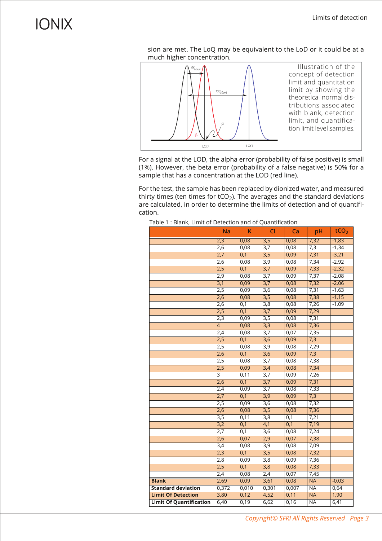sion are met. The LoQ may be equivalent to the LoD or it could be at a much higher concentration.



For a signal at the LOD, the alpha error (probability of false positive) is small (1%). However, the beta error (probability of a false negative) is 50% for a sample that has a concentration at the LOD (red line).

For the test, the sample has been replaced by dionized water, and measured thirty times (ten times for tCO<sub>2</sub>). The averages and the standard deviations are calculated, in order to determine the limits of detection and of quantification.

|                                | <b>Na</b>      | Κ     | CI               | Ca    | pH        | tCO <sub>2</sub> |
|--------------------------------|----------------|-------|------------------|-------|-----------|------------------|
|                                | 2,3            | 0,08  | 3,5              | 0,08  | 7,32      | $-1,83$          |
|                                | 2,6            | 0,08  | 3,7              | 0,08  | 7,3       | $-1,34$          |
|                                | 2,7            | 0,1   | 3,5              | 0,09  | 7,31      | $-3,21$          |
|                                | 2,6            | 0,08  | 3,9              | 0,08  | 7,34      | $-2,92$          |
|                                | 2,5            | 0,1   | 3,7              | 0,09  | 7,33      | $-2,32$          |
|                                | 2,9            | 0,08  | 3,7              | 0,09  | 7,37      | $-2,08$          |
|                                | 3,1            | 0,09  | 3,7              | 0,08  | 7,32      | $-2,06$          |
|                                | 2,5            | 0,09  | 3,6              | 0,08  | 7,31      | $-1,63$          |
|                                | 2,6            | 0,08  | 3,5              | 0,08  | 7,38      | $-1,15$          |
|                                | 2,6            | 0,1   | 3,8              | 0,08  | 7,26      | $-1,09$          |
|                                | 2,5            | 0,1   | 3,7              | 0,09  | 7,29      |                  |
|                                | 2,3            | 0,09  | $\overline{3,5}$ | 0,08  | 7,31      |                  |
|                                | $\overline{4}$ | 0,08  | 3,3              | 0,08  | 7,36      |                  |
|                                | 2,4            | 0,08  | 3,7              | 0,07  | 7,35      |                  |
|                                | 2,5            | 0,1   | $\overline{3,6}$ | 0,09  | 7,3       |                  |
|                                | 2,5            | 0,08  | 3,9              | 0,08  | 7,29      |                  |
|                                | 2,6            | 0,1   | $\overline{3,6}$ | 0,09  | 7,3       |                  |
|                                | 2,5            | 0,08  | 3,7              | 0,08  | 7,38      |                  |
|                                | 2,5            | 0,09  | 3,4              | 0,08  | 7,34      |                  |
|                                | 3              | 0,11  | 3,7              | 0,09  | 7,26      |                  |
|                                | 2,6            | 0,1   | 3,7              | 0,09  | 7,31      |                  |
|                                | 2,4            | 0,09  | 3,7              | 0,08  | 7,33      |                  |
|                                | 2,7            | 0,1   | 3,9              | 0,09  | 7,3       |                  |
|                                | 2,5            | 0,09  | $\overline{3,6}$ | 0,08  | 7,32      |                  |
|                                | 2,6            | 0,08  | 3,5              | 0,08  | 7,36      |                  |
|                                | 3,5            | 0,11  | 3,8              | 0,1   | 7,21      |                  |
|                                | 3,2            | 0,1   | 4,1              | 0,1   | 7,19      |                  |
|                                | 2,7            | 0,1   | 3,6              | 0,08  | 7,24      |                  |
|                                | 2,6            | 0,07  | 2,9              | 0,07  | 7,38      |                  |
|                                | 3,4            | 0,08  | 3,9              | 0,08  | 7,09      |                  |
|                                | 2,3            | 0,1   | 3,5              | 0,08  | 7,32      |                  |
|                                | 2,8            | 0,09  | 3,8              | 0,09  | 7,36      |                  |
|                                | 2,5            | 0,1   | 3,8              | 0,08  | 7,33      |                  |
|                                | 2,4            | 0,08  | 2,4              | 0,07  | 7,45      |                  |
| <b>Blank</b>                   | 2,69           | 0,09  | 3,61             | 0,08  | <b>NA</b> | $-0,03$          |
| <b>Standard deviation</b>      | 0,372          | 0,010 | 0,301            | 0,007 | <b>NA</b> | 0,64             |
| <b>Limit Of Detection</b>      | 3,80           | 0,12  | 4,52             | 0,11  | <b>NA</b> | 1,90             |
| <b>Limit Of Quantification</b> | 6,40           | 0,19  | 6,62             | 0,16  | <b>NA</b> | 6,41             |

Table 1 : Blank, Limit of Detection and of Quantification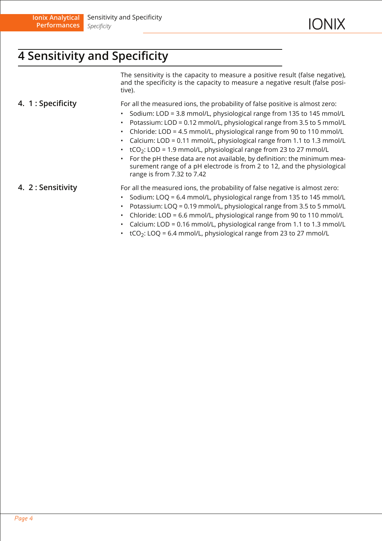## <span id="page-3-0"></span>**4 Sensitivity and Specificity**

The sensitivity is the capacity to measure a positive result (false negative), and the specificity is the capacity to measure a negative result (false positive).

<span id="page-3-1"></span>**4. 1 : Specificity** For all the measured ions, the probability of false positive is almost zero:

- Sodium: LOD = 3.8 mmol/L, physiological range from 135 to 145 mmol/L
- Potassium: LOD = 0.12 mmol/L, physiological range from 3.5 to 5 mmol/L
- Chloride: LOD = 4.5 mmol/L, physiological range from 90 to 110 mmol/L
- Calcium: LOD = 0.11 mmol/L, physiological range from 1.1 to 1.3 mmol/L
- $tCO<sub>2</sub>$ : LOD = 1.9 mmol/L, physiological range from 23 to 27 mmol/L
- For the pH these data are not available, by definition: the minimum measurement range of a pH electrode is from 2 to 12, and the physiological range is from 7.32 to 7.42

<span id="page-3-2"></span>**4. 2 : Sensitivity** For all the measured ions, the probability of false negative is almost zero:

- Sodium: LOQ = 6.4 mmol/L, physiological range from 135 to 145 mmol/L
- Potassium: LOQ = 0.19 mmol/L, physiological range from 3.5 to 5 mmol/L
- Chloride: LOD = 6.6 mmol/L, physiological range from 90 to 110 mmol/L
- Calcium: LOD = 0.16 mmol/L, physiological range from 1.1 to 1.3 mmol/L
- $tCO<sub>2</sub>: LOQ = 6.4 mmol/L, physical ogical range from 23 to 27 mmol/L$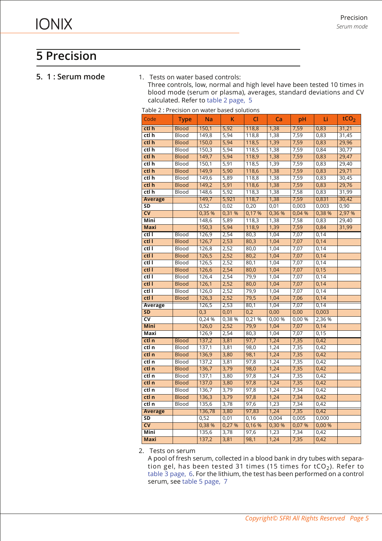## <span id="page-4-0"></span>**5 Precision**

### <span id="page-4-1"></span>**5. 1 : Serum mode** 1. Tests on water based controls:

Three controls, low, normal and high level have been tested 10 times in blood mode (serum or plasma), averages, standard deviations and CV calculated. Refer to [table 2 page, 5](#page-4-2)

<span id="page-4-2"></span>

| Table 2 : Precision on water based solutions |
|----------------------------------------------|
|----------------------------------------------|

| Code                     | <b>Type</b>           | Na             | Κ            | <b>CI</b>    | Ca           | рH           | Li           | tCO <sub>2</sub> |
|--------------------------|-----------------------|----------------|--------------|--------------|--------------|--------------|--------------|------------------|
| ctl h                    | <b>Blood</b>          | 150,1          | 5,92         | 118,8        | 1,38         | 7,59         | 0,83         | 31,21            |
| $ctl$ h                  | Blood                 | 149,8          | 5,94         | 118,8        | 1,38         | 7,59         | 0,83         | 31,45            |
| ctl h                    | <b>Blood</b>          | 150,0          | 5,94         | 118,5        | 1,39         | 7,59         | 0,83         | 29,96            |
| ctl h                    | Blood                 | 150,3          | 5,94         | 118,5        | 1,38         | 7,59         | 0,84         | 30,77            |
| ctl h                    | <b>Blood</b>          | 149,7          | 5,94         | 118,9        | 1,38         | 7,59         | 0,83         | 29,47            |
| ctl h                    | Blood                 | 150,1          | 5,91         | 118,5        | 1,39         | 7,59         | 0,83         | 29,40            |
| ctl h                    | <b>Blood</b>          | 149,9          | 5,90         | 118,6        | 1,38         | 7,59         | 0,83         | 29,71            |
| ctl h                    | Blood                 | 149,6          | 5,89         | 118,8        | 1,38         | 7,59         | 0,83         | 30,45            |
| ctl h                    | <b>Blood</b>          | 149,2          | 5,91         | 118,6        | 1,38         | 7,59         | 0,83         | 29,76            |
| ctl h                    | <b>Blood</b>          | 148,6          | 5,92         | 118,3        | 1,38         | 7,58         | 0,83         | 31,99            |
| <b>Average</b>           |                       | 149,7          | 5,921        | 118,7        | 1,38         | 7,59         | 0,831        | 30,42            |
| SD                       |                       | 0,52           | 0,02         | 0,20         | 0,01         | 0,003        | 0,003        | 0,90             |
| $c_{\Lambda}$            |                       | 0,35 %         | 0,31 %       | 0,17%        | 0,36 %       | 0,04 %       | 0,38 %       | 2,97 %           |
| <b>Mini</b>              |                       | 148,6          | 5,89         | 118,3        | 1,38         | 7,58         | 0,83         | 29,40            |
| <b>Maxi</b>              |                       | 150,3          | 5,94         | 118,9        | 1,39         | 7,59         | 0,84         | 31,99            |
| ctl I                    | Blood                 | 126,9          | 2,54         | 80,3         | 1,04         | 7,07         | 0,14         |                  |
| ct1                      | <b>Blood</b>          | 126,7          | 2,53         | 80,3         | 1,04         | 7,07         | 0,14         |                  |
| ctl I                    | Blood                 | 126,8          | 2,52         | 80,0         | 1,04         | 7,07         | 0,14         |                  |
| ct <sub>1</sub>          | <b>Blood</b>          | 126,5          | 2,52         | 80,2         | 1,04         | 7,07         | 0,14         |                  |
| ctI                      | <b>Blood</b>          | 126,5          | 2,52         | 80,1         | 1,04         | 7,07         | 0,14         |                  |
| ctI                      | <b>Blood</b>          | 126,6          | 2,54         | 80,0         | 1,04         | 7,07         | 0,15         |                  |
| ctI                      | Blood                 | 126,4          | 2,54         | 79,9         | 1,04         | 7,07         | 0,14         |                  |
| ct1                      | <b>Blood</b>          | 126,1          | 2,52         | 80,0         | 1,04         | 7,07         | 0,14         |                  |
| ctl I                    | Blood                 | 126,0          | 2,52         | 79,9         | 1,04         | 7,07         | 0,14         |                  |
| ctI                      | <b>Blood</b>          | 126,3          | 2,52         | 79,5         | 1,04         | 7,06         | 0,14         |                  |
| Average                  |                       | 126,5          | 2,53         | 80,1         | 1,04         | 7,07         | 0,14         |                  |
| <b>SD</b>                |                       | 0,3            | 0,01         | 0,2          | 0,00         | 0,00         | 0,003        |                  |
| $\overline{\mathsf{cv}}$ |                       | 0,24 %         | 0,38 %       | 0,21%        | 0,00 %       | 0,00 %       | 2,36 %       |                  |
| <b>Mini</b>              |                       | 126,0          | 2,52         | 79,9         | 1,04         | 7,07         | 0,14         |                  |
| Maxi                     |                       | 126,9          | 2,54         | 80,3         | 1,04         | 7,07         | 0,15         |                  |
| ctl n                    | <b>Blood</b>          | 137,2          | 3,81         | 97,7         | 1,24         | 7,35         | 0,42         |                  |
| ctl n                    | Blood                 | 137,1          | 3,81         | 98,0         | 1,24         | 7,35         | 0,42         |                  |
| ctl n<br>ctl n           | <b>Blood</b><br>Blood | 136,9<br>137,2 | 3,80<br>3,81 | 98,1<br>97,8 | 1,24<br>1,24 | 7,35<br>7,35 | 0,42<br>0,42 |                  |
| ctl n                    | <b>Blood</b>          | 136,7          | 3,79         | 98,0         | 1,24         | 7,35         | 0,42         |                  |
| ctl n                    | Blood                 | 137,1          | 3,80         | 97,8         | 1,24         | 7,35         | 0,42         |                  |
| ctl n                    | <b>Blood</b>          | 137,0          | 3,80         | 97,8         | 1,24         | 7,35         | 0,42         |                  |
| ctl n                    | Blood                 | 136,7          | 3,79         | 97,8         | 1,24         | 7,34         | 0,42         |                  |
| ctl n                    | <b>Blood</b>          | 136,3          | 3,79         | 97,8         | 1,24         | 7,34         | 0,42         |                  |
| ctl n                    | Blood                 | 135,6          | 3,78         | 97,6         | 1,23         | 7,34         | 0,42         |                  |
| Average                  |                       | 136,78         | 3,80         | 97,83        | 1,24         | 7,35         | 0,42         |                  |
| $\overline{\text{SD}}$   |                       | 0,52           | 0,01         | 0,16         | 0,004        | 0,005        | 0,000        |                  |
| $\overline{\mathsf{cv}}$ |                       | 0,38 %         | 0,27%        | 0,16%        | 0,30 %       | 0,07 %       | 0,00 %       |                  |
| <b>Mini</b>              |                       | 135,6          | 3,78         | 97,6         | 1,23         | 7,34         | 0,42         |                  |
| <b>Maxi</b>              |                       | 137,2          | 3,81         | 98,1         | 1,24         | 7,35         | 0,42         |                  |

2. Tests on serum

A pool of fresh serum, collected in a blood bank in dry tubes with separation gel, has been tested 31 times (15 times for  $tCO<sub>2</sub>$ ). Refer to [table 3 page, 6](#page-5-1). For the lithium, the test has been performed on a control serum, see [table 5 page, 7](#page-6-2)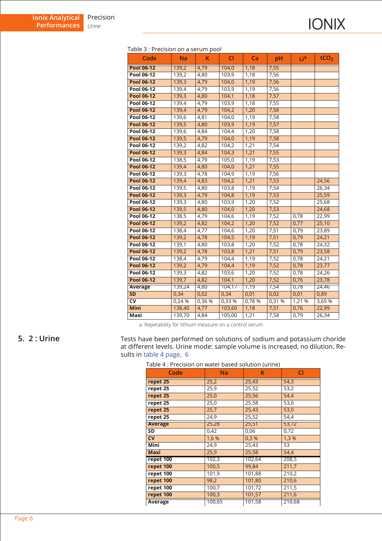<span id="page-5-1"></span>

|  | Table 3 : Precision on a serum pool |  |  |  |
|--|-------------------------------------|--|--|--|
|--|-------------------------------------|--|--|--|

| Code                     | <b>Na</b> | Κ     | <b>CI</b> | Ca    | pH    | Lia    | tCO <sub>2</sub> |
|--------------------------|-----------|-------|-----------|-------|-------|--------|------------------|
| <b>Pool 06-12</b>        | 139,2     | 4,79  | 104,0     | 1,18  | 7,55  |        |                  |
| Pool 06-12               | 139,2     | 4,80  | 103,9     | 1,18  | 7,56  |        |                  |
| <b>Pool 06-12</b>        | 139,3     | 4,79  | 104,0     | 1,19  | 7,56  |        |                  |
| <b>Pool 06-12</b>        | 139,4     | 4,79  | 103,9     | 1,19  | 7,56  |        |                  |
| <b>Pool 06-12</b>        | 139,3     | 4,80  | 104,1     | 1,18  | 7,57  |        |                  |
| <b>Pool 06-12</b>        | 139,4     | 4,79  | 103,9     | 1,18  | 7,55  |        |                  |
| <b>Pool 06-12</b>        | 139,4     | 4,79  | 104,2     | 1,20  | 7,58  |        |                  |
| Pool 06-12               | 139,6     | 4,81  | 104,0     | 1,19  | 7,58  |        |                  |
| <b>Pool 06-12</b>        | 139,5     | 4,80  | 103,9     | 1,19  | 7,57  |        |                  |
| <b>Pool 06-12</b>        | 139,6     | 4,84  | 104,4     | 1,20  | 7,58  |        |                  |
| <b>Pool 06-12</b>        | 139,5     | 4,79  | 104,0     | 1,19  | 7,58  |        |                  |
| <b>Pool 06-12</b>        | 139,2     | 4,82  | 104,2     | 1,21  | 7,54  |        |                  |
| <b>Pool 06-12</b>        | 139,3     | 4,84  | 104,3     | 1,21  | 7,55  |        |                  |
| Pool 06-12               | 138,5     | 4,79  | 105,0     | 1,19  | 7,53  |        |                  |
| <b>Pool 06-12</b>        | 139,4     | 4,80  | 104,0     | 1,21  | 7,55  |        |                  |
| Pool 06-12               | 139,3     | 4,78  | 104,9     | 1,19  | 7,56  |        |                  |
| <b>Pool 06-12</b>        | 139,4     | 4,83  | 104,2     | 1,21  | 7,53  |        | 24,56            |
| <b>Pool 06-12</b>        | 139,5     | 4,80  | 103,8     | 1,19  | 7,54  |        | 26,34            |
| <b>Pool 06-12</b>        | 139,3     | 4,79  | 104,8     | 1,19  | 7,53  |        | 25,59            |
| Pool 06-12               | 139,3     | 4,80  | 103,9     | 1,20  | 7,52  |        | 25,68            |
| <b>Pool 06-12</b>        | 139,5     | 4,80  | 104,0     | 1,20  | 7,53  |        | 24,68            |
| Pool 06-12               | 138,5     | 4,79  | 104,6     | 1,19  | 7,52  | 0,78   | 22,99            |
| <b>Pool 06-12</b>        | 139,2     | 4,82  | 104,2     | 1,20  | 7,52  | 0,77   | 25,10            |
| Pool 06-12               | 138,4     | 4,77  | 104,6     | 1,20  | 7,51  | 0,79   | 23,89            |
| <b>Pool 06-12</b>        | 139,2     | 4,78  | 104,5     | 1,19  | 7,51  | 0,79   | 24,21            |
| Pool 06-12               | 139,1     | 4,80  | 103,8     | 1,20  | 7,52  | 0,78   | 24,32            |
| <b>Pool 06-12</b>        | 139,2     | 4,78  | 103,8     | 1,21  | 7,51  | 0,79   | 23,58            |
| Pool 06-12               | 138,4     | 4,79  | 104,4     | 1,19  | 7,52  | 0,78   | 24,21            |
| <b>Pool 06-12</b>        | 139,2     | 4,79  | 104,4     | 1,19  | 7,52  | 0,78   | 23,77            |
| <b>Pool 06-12</b>        | 139,3     | 4,82  | 103,6     | 1,20  | 7,52  | 0,78   | 24,26            |
| <b>Pool 06-12</b>        | 139,7     | 4,82  | 104,1     | 1,20  | 7,52  | 0,76   | 23,78            |
| <b>Average</b>           | 139,24    | 4,80  | 104,17    | 1,19  | 7,54  | 0,78   | 24,46            |
| SD                       | 0,34      | 0,02  | 0,34      | 0,01  | 0,02  | 0,01   | 0,89             |
| $\overline{\mathsf{cv}}$ | 0,24%     | 0,36% | 0,33%     | 0,78% | 0,31% | 1,21 % | 3,65 %           |
| <b>Mini</b>              | 138,40    | 4,77  | 103,60    | 1,18  | 7,51  | 0,76   | 22,99            |
| Maxi                     | 139,70    | 4,84  | 105,00    | 1,21  | 7,58  | 0,79   | 26,34            |

a. Repetability for lithium measure on a control serum

<span id="page-5-0"></span>**5. 2 : Urine** Tests have been performed on solutions of sodium and potassium choride at different levels. Urine mode: sample volume is increased, no dilution. Results in [table 4 page, 6](#page-5-2)

<span id="page-5-2"></span>

| Table 4 : Precision on water based solution (urine) |  |  |
|-----------------------------------------------------|--|--|
|                                                     |  |  |

| Code           | Na     | κ      | <b>CI</b> |
|----------------|--------|--------|-----------|
| repet 25       | 25,2   | 25,43  | 54,3      |
| repet 25       | 25,9   | 25,52  | 53,2      |
| repet 25       | 25,0   | 25,56  | 54,4      |
| repet 25       | 25,0   | 25,58  | 53,0      |
| repet 25       | 25,7   | 25,43  | 53,0      |
| repet 25       | 24,9   | 25,52  | 54,4      |
| <b>Average</b> | 25,28  | 25,51  | 53,72     |
| SD             | 0,42   | 0,06   | 0,72      |
| <b>CV</b>      | 1,6 %  | 0.3%   | 1,3%      |
| Mini           | 24,9   | 25,43  | 53        |
| <b>Maxi</b>    | 25,9   | 25,58  | 54,4      |
| repet 100      | 102,3  | 102,64 | 208,5     |
| repet 100      | 100,5  | 99,84  | 211,7     |
| repet 100      | 101,9  | 101,88 | 210,2     |
| repet 100      | 98,2   | 101,80 | 210,6     |
| repet 100      | 100,7  | 101,72 | 211,5     |
| repet 100      | 100,3  | 101,57 | 211,6     |
| <b>Average</b> | 100,65 | 101,58 | 210,68    |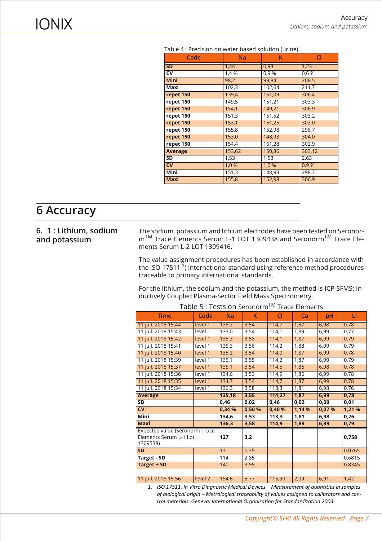| Code                   | <b>Na</b> | Κ      | <b>CI</b> |
|------------------------|-----------|--------|-----------|
| <b>SD</b>              | 1,44      | 0,93   | 1,23      |
| $\overline{\text{cv}}$ | 1,4 %     | 0,9%   | 0,6 %     |
| <b>Mini</b>            | 98,2      | 99,84  | 208,5     |
| Maxi                   | 102,3     | 102,64 | 211,7     |
| repet 150              | 139,4     | 161,09 | 306,4     |
| repet 150              | 149,5     | 151,21 | 303,3     |
| repet 150              | 154,1     | 149,21 | 306,9     |
| repet 150              | 151,3     | 151,52 | 303,2     |
| repet 150              | 153,1     | 151,25 | 303,0     |
| repet 150              | 155,8     | 152,98 | 298,7     |
| repet 150              | 153,0     | 148,93 | 304,0     |
| repet 150              | 154,4     | 151,28 | 302,9     |
| <b>Average</b>         | 153,62    | 150,86 | 303,12    |
| <b>SD</b>              | 1,53      | 1,53   | 2,63      |
| $\overline{\text{cv}}$ | 1,0 %     | 1.0 %  | 0,9%      |
| <b>Mini</b>            | 151,3     | 148,93 | 298,7     |
| <b>Maxi</b>            | 155,8     | 152,98 | 306,9     |

Table 4 : Precision on water based solution (urine)

## <span id="page-6-0"></span>**6 Accuracy**

<span id="page-6-2"></span><span id="page-6-1"></span>

| 6. 1: Lithium, sodium<br>and potassium | The sodium, potassium and lithium electrodes have been tested on Seronor-<br>m <sup>TM</sup> Trace Elements Serum L-1 LOT 1309438 and Seronorm <sup>TM</sup> Trace Ele-<br>ments Serum L-2 LOT 1309416.           |         |           |       |        |       |       |        |  |  |
|----------------------------------------|-------------------------------------------------------------------------------------------------------------------------------------------------------------------------------------------------------------------|---------|-----------|-------|--------|-------|-------|--------|--|--|
|                                        | The value assignment procedures has been established in accordance with<br>the ISO 17511 <sup>1</sup> ) International standard using reference method procedures<br>traceable to primary international standards. |         |           |       |        |       |       |        |  |  |
|                                        | For the lithium, the sodium and the potassium, the method is ICP-SFMS: In-<br>ductively Coupled Plasma-Sector Field Mass Spectrometry.                                                                            |         |           |       |        |       |       |        |  |  |
|                                        | Table 5 : Tests on Seronorm™ Trace Elements                                                                                                                                                                       |         |           |       |        |       |       |        |  |  |
|                                        | <b>Time</b>                                                                                                                                                                                                       | Code    | <b>Na</b> | K     | Cl     | Ca    | pH    | Li     |  |  |
|                                        | 11 juil. 2018 15:44                                                                                                                                                                                               | level 1 | 135,2     | 3,54  | 114,7  | 1,87  | 6,98  | 0,78   |  |  |
|                                        | 11 juil. 2018 15:43                                                                                                                                                                                               | level 1 | 135,0     | 3,54  | 114,1  | 1,89  | 6,99  | 0,77   |  |  |
|                                        | 11 juil. 2018 15:42                                                                                                                                                                                               | level 1 | 135,3     | 3,58  | 114,1  | 1,87  | 6,99  | 0,79   |  |  |
|                                        | 11 juil. 2018 15:41                                                                                                                                                                                               | level 1 | 135,3     | 3,56  | 114,2  | 1,88  | 6,99  | 0,79   |  |  |
|                                        | 11 juil. 2018 15:40                                                                                                                                                                                               | level 1 | 135,2     | 3,54  | 114,0  | 1,87  | 6,99  | 0,78   |  |  |
|                                        | 11 juil. 2018 15:39                                                                                                                                                                                               | level 1 | 135,1     | 3,55  | 114,2  | 1,87  | 6,99  | 0,79   |  |  |
|                                        | 11 juil. 2018 15:37                                                                                                                                                                                               | level 1 | 135,1     | 3,54  | 114,5  | 1,86  | 6,98  | 0,78   |  |  |
|                                        | 11 juil. 2018 15:36                                                                                                                                                                                               | level 1 | 134,6     | 3,53  | 114,9  | 1,86  | 6,99  | 0,78   |  |  |
|                                        | 11 juil. 2018 15:35                                                                                                                                                                                               | level 1 | 134,7     | 3,54  | 114,7  | 1,87  | 6,99  | 0,78   |  |  |
|                                        | 11 juil. 2018 15:34                                                                                                                                                                                               | level 1 | 136,3     | 3,58  | 113,3  | 1,81  | 6,98  | 0,76   |  |  |
|                                        | <b>Average</b>                                                                                                                                                                                                    |         | 135,18    | 3,55  | 114,27 | 1,87  | 6,99  | 0,78   |  |  |
|                                        | SD                                                                                                                                                                                                                |         | 0,46      | 0,02  | 0,46   | 0,02  | 0,00  | 0,01   |  |  |
|                                        | $\overline{\mathsf{cv}}$                                                                                                                                                                                          |         | 0,34 %    | 0,50% | 0,40%  | 1,14% | 0,07% | 1,21%  |  |  |
|                                        | Mini                                                                                                                                                                                                              |         | 134,6     | 3,53  | 113,3  | 1,81  | 6,98  | 0,76   |  |  |
|                                        | <b>Maxi</b>                                                                                                                                                                                                       |         | 136,3     | 3,58  | 114,9  | 1,89  | 6,99  | 0,79   |  |  |
|                                        | Expected value (Seronorm Trace<br>Elements Serum L-1 Lot<br>1309538)                                                                                                                                              |         | 127       | 3,2   |        |       |       | 0,758  |  |  |
|                                        | SD                                                                                                                                                                                                                |         | 13        | 0,35  |        |       |       | 0,0765 |  |  |
|                                        | <b>Target - SD</b><br>2.85<br>114<br>3.55<br><b>Target + SD</b><br>140                                                                                                                                            |         |           |       |        |       |       |        |  |  |
|                                        |                                                                                                                                                                                                                   |         |           |       |        |       |       |        |  |  |
|                                        |                                                                                                                                                                                                                   |         |           |       |        |       |       |        |  |  |
|                                        | 11 juil. 2018 15:56                                                                                                                                                                                               | level 2 | 154,6     | 5,77  | 115,90 | 2,09  | 6,91  | 1,42   |  |  |
|                                        | 1. ISO 17511. In Vitro Diagnostic Medical Devices - Measurement of quantities in samples                                                                                                                          |         |           |       |        |       |       |        |  |  |

of biological origin - Metrological traceability of values assigned to calibrators and con*trol materials. Geneva, International Organisation for Standardization 2003.*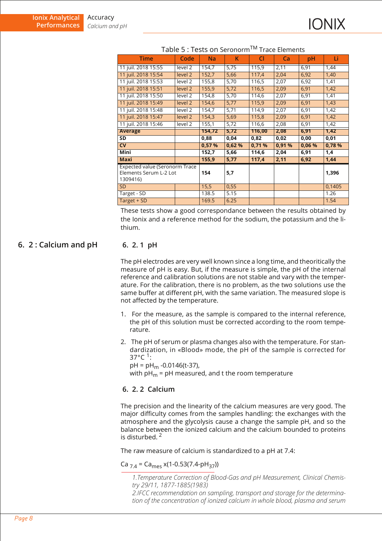| <b>Time</b>                                                                  | Code               | Na     | ĸ     | Cl                 | Ca    | pH    | Li     |
|------------------------------------------------------------------------------|--------------------|--------|-------|--------------------|-------|-------|--------|
| 11 juil. 2018 15:55                                                          | level 2            | 154,7  | 5,75  | 115,9              | 2,11  | 6,91  | 1,44   |
| 11 juil. 2018 15:54                                                          | level <sub>2</sub> | 152,7  | 5,66  | 117,4              | 2,04  | 6,92  | 1,40   |
| 11 juil. 2018 15:53                                                          | level 2            | 155,8  | 5,70  | 116,5              | 2,07  | 6,92  | 1,41   |
| 11 juil. 2018 15:51                                                          | level <sub>2</sub> | 155,9  | 5,72  | 116,5              | 2,09  | 6,91  | 1,42   |
| 11 juil. 2018 15:50                                                          | level <sub>2</sub> | 154,8  | 5,70  | 114,6              | 2,07  | 6,91  | 1,41   |
| 11 juil. 2018 15:49                                                          | level <sub>2</sub> | 154,6  | 5,77  | 115,9              | 2,09  | 6,91  | 1,43   |
| 11 juil. 2018 15:48                                                          | level 2            | 154,7  | 5,71  | $\overline{1}14,9$ | 2,07  | 6,91  | 1,42   |
| 11 juil. 2018 15:47                                                          | level 2            | 154,3  | 5,69  | 115,8              | 2,09  | 6,91  | 1,42   |
| 11 juil. 2018 15:46                                                          | level 2            | 155,1  | 5,72  | 116,6              | 2,08  | 6,91  | 1,42   |
| <b>Average</b>                                                               |                    | 154,72 | 5,72  | 116,00             | 2,08  | 6,91  | 1,42   |
| <b>SD</b>                                                                    |                    | 0,88   | 0,04  | 0,82               | 0,02  | 0,00  | 0,01   |
| CV                                                                           |                    | 0.57%  | 0,62% | 0.71%              | 0.91% | 0.06% | 0,78%  |
| <b>Mini</b>                                                                  |                    | 152,7  | 5,66  | 114,6              | 2,04  | 6,91  | 1,4    |
| <b>Maxi</b>                                                                  |                    | 155,9  | 5,77  | 117,4              | 2,11  | 6,92  | 1,44   |
| <b>Expected value (Seronorm Trace)</b><br>Elements Serum L-2 Lot<br>1309416) |                    | 154    | 5,7   |                    |       |       | 1,396  |
| <b>SD</b>                                                                    |                    | 15,5   | 0,55  |                    |       |       | 0,1405 |
| Target - SD                                                                  |                    | 138.5  | 5.15  |                    |       |       | 1.26   |
| Target + SD                                                                  |                    | 169.5  | 6.25  |                    |       |       | 1.54   |

### Table 5 : Tests on Seronorm™ Trace Elements

These tests show a good correspondance between the results obtained by the Ionix and a reference method for the sodium, the potassium and the lithium.

### <span id="page-7-0"></span>**6. 2 : Calcium and pH 6. 2. 1 pH**

The pH electrodes are very well known since a long time, and theoritically the measure of pH is easy. But, if the measure is simple, the pH of the internal reference and calibration solutions are not stable and vary with the temperature. For the calibration, there is no problem, as the two solutions use the same buffer at different pH, with the same variation. The measured slope is not affected by the temperature.

- 1. For the measure, as the sample is compared to the internal reference, the pH of this solution must be corrected according to the room temperature.
- 2. The pH of serum or plasma changes also with the temperature. For standardization, in «Blood» mode, the pH of the sample is corrected for 37 $^{\circ}$ C<sup>1</sup>:

 $pH = pH<sub>m</sub> -0.0146(t-37)$ ,

with  $pH_m = pH$  measured, and t the room temperature

### **6. 2. 2 Calcium**

The precision and the linearity of the calcium measures are very good. The major difficulty comes from the samples handling: the exchanges with the atmosphere and the glycolysis cause a change the sample pH, and so the balance between the ionized calcium and the calcium bounded to proteins is disturbed. 2

The raw measure of calcium is standardized to a pH at 7.4:

Ca  $_{7.4}$  = Ca<sub>mes</sub> x(1-0.53(7.4-pH<sub>37</sub>))

*2.[IFCC recommendation on sampling, transport and storage for the determina](https://www.researchgate.net/publication/23388024_IFCC_Recommendation_on_Sampling_Transport_and_Storage_for_the_Determination_of_the_Concentration_of_Ionized_Calcium_in_Whole_Blood_Plasma_and_Serum)[tion of the concentration of ionized calcium in whole blood, plasma and serum](https://www.researchgate.net/publication/23388024_IFCC_Recommendation_on_Sampling_Transport_and_Storage_for_the_Determination_of_the_Concentration_of_Ionized_Calcium_in_Whole_Blood_Plasma_and_Serum)*

*<sup>1.</sup>[Temperature Correction of Blood-Gas and pH Measurement, Clinical Chemis](https://www.deepdyve.com/lp/american-association-for-clinical-chemistry/temperature-correction-of-blood-gas-and-ph-measurements-0otHzu7zKQ)[try 29/11, 1877-1885\(1983\)](https://www.deepdyve.com/lp/american-association-for-clinical-chemistry/temperature-correction-of-blood-gas-and-ph-measurements-0otHzu7zKQ)*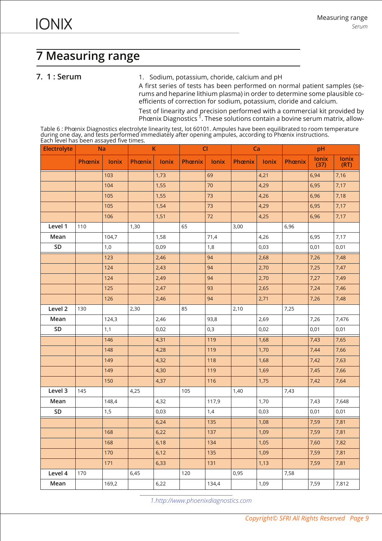## <span id="page-8-0"></span>**7 Measuring range**

<span id="page-8-1"></span>**7.** 1 : Serum 1. Sodium, potassium, choride, calcium and pH

A first series of tests has been performed on normal patient samples (serums and heparine lithium plasma) in order to determine some plausible coefficients of correction for sodium, potassium, cloride and calcium.

Test of linearity and precision performed with a commercial kit provided by Phœnix Diagnostics 1. These solutions contain a bovine serum matrix, allow-

Table 6 : Phœnix Diagnostics electrolyte linearity test, lot 60101. Ampules have been equilibrated to room temperature during one day, and tests performed immediately after opening ampules, according to Phœnix instructions. Each level has been assayed five times.

| Electrolyte | <b>Na</b> |              |        | $\mathsf K$  | CI     |              | Ca     |              |        | pH            |                      |
|-------------|-----------|--------------|--------|--------------|--------|--------------|--------|--------------|--------|---------------|----------------------|
|             | Phœnix    | <b>lonix</b> | Phœnix | <b>lonix</b> | Phœnix | <b>lonix</b> | Phœnix | <b>lonix</b> | Phœnix | Ionix<br>(37) | <b>lonix</b><br>(RT) |
|             |           | 103          |        | 1,73         |        | 69           |        | 4,21         |        | 6,94          | 7,16                 |
|             |           | 104          |        | 1,55         |        | 70           |        | 4,29         |        | 6,95          | 7,17                 |
|             |           | 105          |        | 1,55         |        | $73\,$       |        | 4,26         |        | 6,96          | 7,18                 |
|             |           | 105          |        | 1,54         |        | $73\,$       |        | 4,29         |        | 6,95          | 7,17                 |
|             |           | 106          |        | 1,51         |        | $72\,$       |        | 4,25         |        | 6,96          | 7,17                 |
| Level 1     | 110       |              | 1,30   |              | 65     |              | 3,00   |              | 6,96   |               |                      |
| Mean        |           | 104,7        |        | 1,58         |        | 71,4         |        | 4,26         |        | 6,95          | 7,17                 |
| SD          |           | 1,0          |        | 0,09         |        | 1,8          |        | 0,03         |        | 0,01          | 0,01                 |
|             |           | 123          |        | 2,46         |        | 94           |        | 2,68         |        | 7,26          | 7,48                 |
|             |           | 124          |        | 2,43         |        | 94           |        | 2,70         |        | 7,25          | 7,47                 |
|             |           | 124          |        | 2,49         |        | 94           |        | 2,70         |        | 7,27          | 7,49                 |
|             |           | 125          |        | 2,47         |        | 93           |        | 2,65         |        | 7,24          | 7,46                 |
|             |           | 126          |        | 2,46         |        | 94           |        | 2,71         |        | 7,26          | 7,48                 |
| Level 2     | 130       |              | 2,30   |              | 85     |              | 2,10   |              | 7,25   |               |                      |
| Mean        |           | 124,3        |        | 2,46         |        | 93,8         |        | 2,69         |        | 7,26          | 7,476                |
| SD          |           | 1,1          |        | 0,02         |        | 0,3          |        | 0,02         |        | 0,01          | 0,01                 |
|             |           | 146          |        | 4,31         |        | 119          |        | 1,68         |        | 7,43          | 7,65                 |
|             |           | 148          |        | 4,28         |        | 119          |        | 1,70         |        | 7,44          | 7,66                 |
|             |           | 149          |        | 4,32         |        | 118          |        | 1,68         |        | 7,42          | 7,63                 |
|             |           | 149          |        | 4,30         |        | 119          |        | 1,69         |        | 7,45          | 7,66                 |
|             |           | 150          |        | 4,37         |        | 116          |        | 1,75         |        | 7,42          | 7,64                 |
| Level 3     | 145       |              | 4,25   |              | 105    |              | 1,40   |              | 7,43   |               |                      |
| Mean        |           | 148,4        |        | 4,32         |        | 117,9        |        | 1,70         |        | 7,43          | 7,648                |
| SD          |           | 1,5          |        | 0,03         |        | 1,4          |        | 0,03         |        | 0,01          | 0,01                 |
|             |           |              |        | 6,24         |        | 135          |        | 1,08         |        | 7,59          | 7,81                 |
|             |           | 168          |        | 6,22         |        | 137          |        | 1,09         |        | 7,59          | 7,81                 |
|             |           | 168          |        | 6,18         |        | 134          |        | 1,05         |        | 7,60          | 7,82                 |
|             |           | 170          |        | 6,12         |        | 135          |        | 1,09         |        | 7,59          | 7,81                 |
|             |           | 171          |        | 6,33         |        | 131          |        | 1,13         |        | 7,59          | 7,81                 |
| Level 4     | 170       |              | 6,45   |              | 120    |              | 0,95   |              | 7,58   |               |                      |
| Mean        |           | 169,2        |        | 6,22         |        | 134,4        |        | 1,09         |        | 7,59          | 7,812                |

*1[.http://www.phoenixdiagnostics.com](http://www.phoenixdiagnostics.com/wp-content/uploads/2015/03/BG-ISE-31206-complete.pdf)*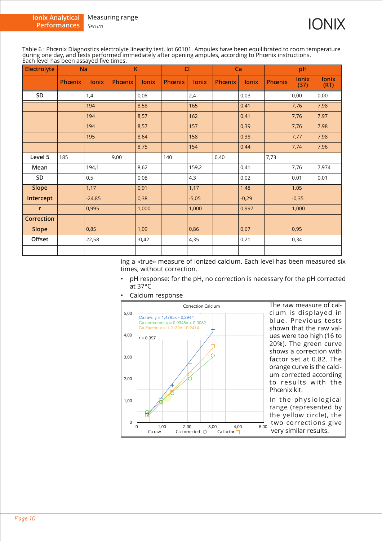Table 6 : Phœnix Diagnostics electrolyte linearity test, lot 60101. Ampules have been equilibrated to room temperature during one day, and tests performed immediately after opening ampules, according to Phœnix instructions. Each level has been assayed five times.

| Electrolyte  | <b>Na</b> |              |        | K            | $\overline{C}$ |              |        | Ca           |        | pH                   |                      |
|--------------|-----------|--------------|--------|--------------|----------------|--------------|--------|--------------|--------|----------------------|----------------------|
|              | Phœnix    | <b>lonix</b> | Phœnix | <b>lonix</b> | Phœnix         | <b>lonix</b> | Phœnix | <b>lonix</b> | Phœnix | <b>lonix</b><br>(37) | <b>lonix</b><br>(RT) |
| SD           |           | 1,4          |        | 0,08         |                | 2,4          |        | 0,03         |        | 0,00                 | 0,00                 |
|              |           | 194          |        | 8,58         |                | 165          |        | 0,41         |        | 7,76                 | 7,98                 |
|              |           | 194          |        | 8,57         |                | 162          |        | 0,41         |        | 7,76                 | 7,97                 |
|              |           | 194          |        | 8,57         |                | 157          |        | 0,39         |        | 7,76                 | 7,98                 |
|              |           | 195          |        | 8,64         |                | 158          |        | 0,38         |        | 7,77                 | 7,98                 |
|              |           |              |        | 8,75         |                | 154          |        | 0,44         |        | 7,74                 | 7,96                 |
| Level 5      | 185       |              | 9,00   |              | 140            |              | 0,40   |              | 7,73   |                      |                      |
| Mean         |           | 194,1        |        | 8,62         |                | 159,2        |        | 0,41         |        | 7,76                 | 7,974                |
| SD           |           | 0,5          |        | 0,08         |                | 4,3          |        | 0,02         |        | 0,01                 | 0,01                 |
| Slope        |           | 1,17         |        | 0,91         |                | 1,17         |        | 1,48         |        | 1,05                 |                      |
| Intercept    |           | $-24,85$     |        | 0,38         |                | $-5,05$      |        | $-0,29$      |        | $-0,35$              |                      |
| $\mathsf{r}$ |           | 0,995        |        | 1,000        |                | 1,000        |        | 0,997        |        | 1,000                |                      |
| Correction   |           |              |        |              |                |              |        |              |        |                      |                      |
| Slope        |           | 0,85         |        | 1,09         |                | 0,86         |        | 0,67         |        | 0,95                 |                      |
| Offset       |           | 22,58        |        | $-0,42$      |                | 4,35         |        | 0,21         |        | 0,34                 |                      |
|              |           |              |        |              |                |              |        |              |        |                      |                      |

ing a «true» measure of ionized calcium. Each level has been measured six times, without correction.

• pH response: for the pH, no correction is necessary for the pH corrected at 37°C



Calcium response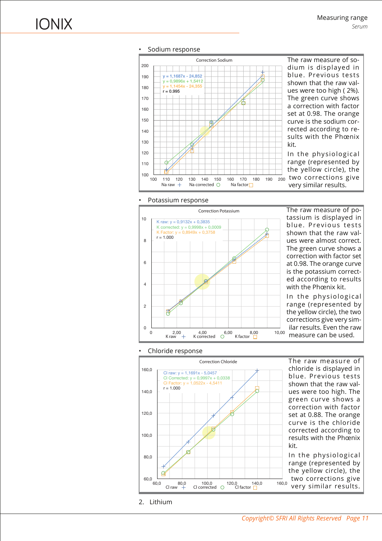### Sodium response



### • Potassium response



The raw measure of potassium is displayed in blue. Previous tests shown that the raw values were almost correct. The green curve shows a correction with factor set at 0.98. The orange curve is the potassium corrected according to results with the Phœnix kit.

In the physiological range (represented by the yellow circle), the two corrections give very similar results. Even the raw measure can be used.

### • Chloride response



The raw measure of chloride is displayed in blue. Previous tests shown that the raw values were too high. The green curve shows a correction with factor set at 0.88. The orange curve is the chloride corrected according to results with the Phœnix

In the physiological range (represented by the yellow circle), the two corrections give very similar results.

2. Lithium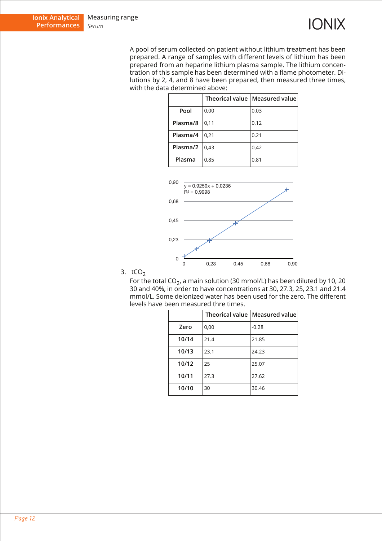A pool of serum collected on patient without lithium treatment has been prepared. A range of samples with different levels of lithium has been prepared from an heparine lithium plasma sample. The lithium concentration of this sample has been determined with a flame photometer. Dilutions by 2, 4, and 8 have been prepared, then measured three times, with the data determined above:

|          |      | Theorical value   Measured value |
|----------|------|----------------------------------|
| Pool     | 0,00 | 0,03                             |
| Plasma/8 | 0,11 | 0,12                             |
| Plasma/4 | 0.21 | 0.21                             |
| Plasma/2 | 0.43 | 0,42                             |
| Plasma   | 0,85 | 0,81                             |



3.  $tCO<sub>2</sub>$ 

For the total  $CO_2$ , a main solution (30 mmol/L) has been diluted by 10, 20 30 and 40%, in order to have concentrations at 30, 27.3, 25, 23.1 and 21.4 mmol/L. Some deionized water has been used for the zero. The different levels have been measured thre times.

|       |      | Theorical value   Measured value |
|-------|------|----------------------------------|
| Zero  | 0,00 | $-0.28$                          |
| 10/14 | 21.4 | 21.85                            |
| 10/13 | 23.1 | 24.23                            |
| 10/12 | 25   | 25.07                            |
| 10/11 | 27.3 | 27.62                            |
| 10/10 | 30   | 30.46                            |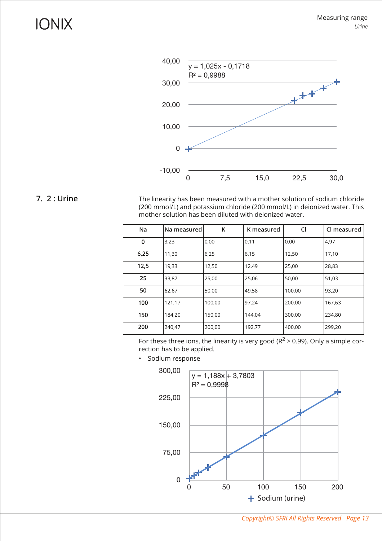

<span id="page-12-0"></span>**7. 2 : Urine** The linearity has been measured with a mother solution of sodium chloride (200 mmol/L) and potassium chloride (200 mmol/L) in deionized water. This mother solution has been diluted with deionized water.

| Na   | Na measured | K      | K measured | Cl     | Cl measured |
|------|-------------|--------|------------|--------|-------------|
| 0    | 3,23        | 0,00   | 0,11       | 0,00   | 4,97        |
| 6,25 | 11,30       | 6,25   | 6,15       | 12,50  | 17,10       |
| 12,5 | 19,33       | 12,50  | 12,49      | 25,00  | 28,83       |
| 25   | 33,87       | 25,00  | 25,06      | 50,00  | 51,03       |
| 50   | 62,67       | 50,00  | 49,58      | 100.00 | 93,20       |
| 100  | 121,17      | 100,00 | 97,24      | 200,00 | 167,63      |
| 150  | 184,20      | 150,00 | 144.04     | 300,00 | 234,80      |
| 200  | 240,47      | 200,00 | 192,77     | 400,00 | 299,20      |

For these three ions, the linearity is very good ( $R^2 > 0.99$ ). Only a simple correction has to be applied.

• Sodium response

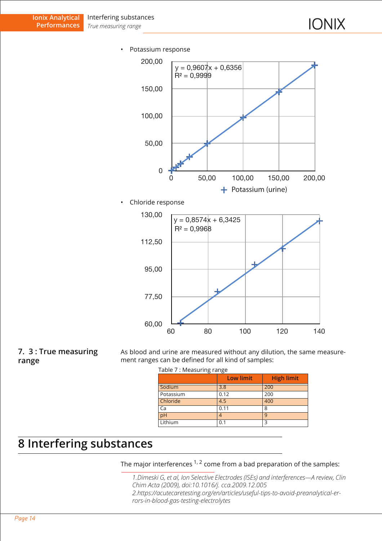• Potassium response





### <span id="page-13-0"></span>**range**

As blood and urine are measured without any dilution, the same measurement ranges can be defined for all kind of samples:

60 80 100 120 140

| Table 7: Measuring range |
|--------------------------|
|--------------------------|

60,00

77,50

95,00

|           | <b>Low limit</b> | <b>High limit</b> |
|-----------|------------------|-------------------|
| Sodium    | 3.8              | 200               |
| Potassium | 0.12             | 200               |
| Chloride  | 4.5              | 400               |
| Ca        | 0.11             | 8                 |
| pH        | ⊿                | q                 |
| Lithium   | 0.1              | ς                 |

## <span id="page-13-1"></span>**8 Interfering substances**

The major interferences  $1, 2$  come from a bad preparation of the samples:

*1.Dimeski G, et al, Ion Selective Electrodes (ISEs) and interferences—A review, Clin Chim Acta (2009), doi:10.1016/j. cca.2009.12.005 2.https://acutecaretesting.org/en/articles/useful-tips-to-avoid-preanalytical-errors-in-blood-gas-testing-electrolytes*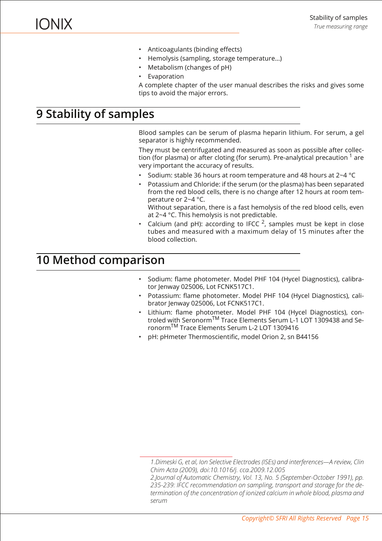- Anticoagulants (binding effects)
- Hemolysis (sampling, storage temperature…)
- Metabolism (changes of pH)
- **Evaporation**

A complete chapter of the user manual describes the risks and gives some tips to avoid the major errors.

## <span id="page-14-0"></span>**9 Stability of samples**

Blood samples can be serum of plasma heparin lithium. For serum, a gel separator is highly recommended.

They must be centrifugated and measured as soon as possible after collection (for plasma) or after cloting (for serum). Pre-analytical precaution  $1$  are very important the accuracy of results.

- Sodium: stable 36 hours at room temperature and 48 hours at 2~4 °C
- Potassium and Chloride: if the serum (or the plasma) has been separated from the red blood cells, there is no change after 12 hours at room temperature or 2~4 °C. Without separation, there is a fast hemolysis of the red blood cells, even at 2~4 °C. This hemolysis is not predictable.
- Calcium (and pH): according to IFCC  $^2$ , samples must be kept in close tubes and measured with a maximum delay of 15 minutes after the blood collection.

## <span id="page-14-1"></span>**10 Method comparison**

- Sodium: flame photometer. Model PHF 104 (Hycel Diagnostics), calibrator Jenway 025006, Lot FCNK517C1.
- Potassium: flame photometer. Model PHF 104 (Hycel Diagnostics), calibrator Jenway 025006, Lot FCNK517C1.
- Lithium: flame photometer. Model PHF 104 (Hycel Diagnostics), controled with SeronormTM Trace Elements Serum L-1 LOT 1309438 and SeronormTM Trace Elements Serum L-2 LOT 1309416
- pH: pHmeter Thermoscientific, model Orion 2, sn B44156

*<sup>1.</sup>Dimeski G, et al, Ion Selective Electrodes (ISEs) and interferences—A review, Clin Chim Acta (2009), doi:10.1016/j. cca.2009.12.005 2.Journal of Automatic Chemistry, Vol. 13, No. 5 (September-October 1991), pp.*

*<sup>235-239:</sup> IFCC recommendation on sampling, transport and storage for the determination of the concentration of ionized calcium in whole blood, plasma and serum*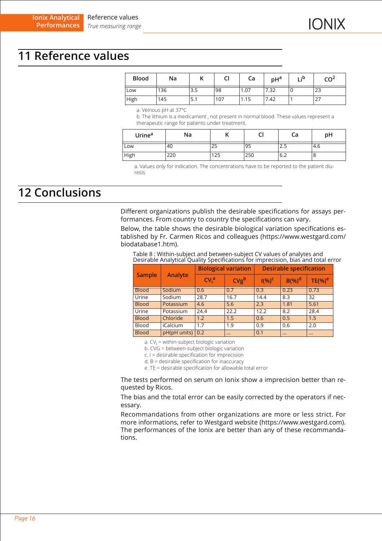## <span id="page-15-0"></span>**11 Reference values**

| <b>Blood</b> | Na  |     | $\overline{\phantom{a}}$<br>u | Сa   | pH <sup>a</sup> | ;b<br>-- | CO <sup>2</sup> |
|--------------|-----|-----|-------------------------------|------|-----------------|----------|-----------------|
| Low          | 136 | 3.5 | 98                            | 1.07 | 7.32            | u        | つつ<br>دے        |
| High         | 145 | 5.1 | 107                           | 1.15 | 7.42            |          | ر ے             |

a. Veinous pH at 37°C

b. The lithium is a medicament , not present in normal blood. These values represent a therapeutic range for patients under treatment.

| Urine <sup>a</sup> | Na  | ''  | u   | Сa    | pH   |
|--------------------|-----|-----|-----|-------|------|
| Low                | 40  | 25  | 95  | ر . ے | 14.6 |
| High               | 220 | 125 | 250 | 6.2   | ۰٥   |

a. Values only for indication. The concentrations have to be reported to the patient diuresis

## <span id="page-15-1"></span>**12 Conclusions**

Different organizations publish the desirable specifications for assays performances. From country to country the specifications can vary.

Below, the table shows the desirable biological variation specifications established by Fr. Carmen Ricos and colleagues (https://www.westgard.com/ biodatabase1.htm).

Table 8 : Within-subject and between-subject CV values of analytes and Desirable Analytical Quality Specifications for imprecision, bias and total error

|               |                                  |                              | <b>Biological variation</b> | <b>Desirable specification</b> |           |                    |  |
|---------------|----------------------------------|------------------------------|-----------------------------|--------------------------------|-----------|--------------------|--|
| <b>Sample</b> | Analyte                          | CV <sub>i</sub> <sup>a</sup> | CVg <sup>b</sup>            | $I(%)^{C}$                     | $B(\%)^d$ | TE(%) <sup>e</sup> |  |
| <b>Blood</b>  | Sodium                           | 0.6                          | 0.7                         | 0.3                            | 0.23      | 0.73               |  |
| Urine         | Sodium                           | 28.7                         | 16.7                        | 14.4                           | 8.3       | 32                 |  |
| <b>Blood</b>  | Potassium                        | 4.6                          | 5.6                         | 2.3                            | 1.81      | 5.61               |  |
| Urine         | Potassium                        | 24.4                         | 22.2                        | 12.2                           | 8.2       | 28.4               |  |
| <b>Blood</b>  | Chloride                         | 1.2                          | 1.5                         | 0.6                            | 0.5       | 1.5                |  |
| Blood         | <i>iCalcium</i>                  | 1.7                          | 1.9                         | 0.9                            | 0.6       | 2.0                |  |
| <b>Blood</b>  | $pH(pH$ units) $\vert 0.2 \vert$ |                              | $\cdots$                    | 0.1                            | $\ddotsc$ | $\cdots$           |  |

a. CV<sub>I</sub> = within-subject biologic variation

b. CVG = between-subject biologic variation

c. I = desirable specification for imprecision

 $d. B =$  desirable specification for inaccuracy

e. TE = desirable specification for allowable total error

The tests performed on serum on Ionix show a imprecision better than requested by Ricos.

The bias and the total error can be easily corrected by the operators if necessary.

Recommandations from other organizations are more or less strict. For more informations, refer to Westgard website (https://www.westgard.com). The performances of the Ionix are better than any of these recommandations.